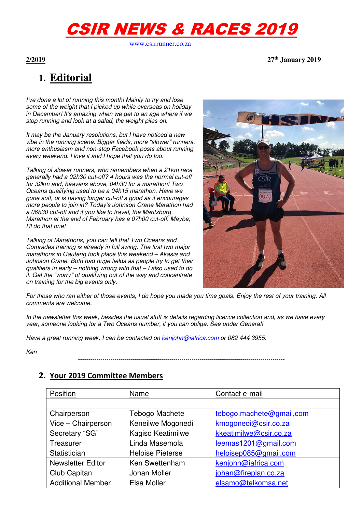# CSIR NEWS & RACES 2019

www.csirrunner.co.za

**2/2019 27th January 2019** 

## **1. Editorial**

I've done a lot of running this month! Mainly to try and lose some of the weight that I picked up while overseas on holiday in December! It's amazing when we get to an age where if we stop running and look at a salad, the weight piles on.

It may be the January resolutions, but I have noticed a new vibe in the running scene. Bigger fields, more "slower" runners, more enthusiasm and non-stop Facebook posts about running every weekend. I love it and I hope that you do too.

Talking of slower runners, who remembers when a 21km race generally had a 02h30 cut-off? 4 hours was the normal cut-off for 32km and, heavens above, 04h30 for a marathon! Two Oceans qualifying used to be a 04h15 marathon. Have we gone soft, or is having longer cut-off's good as it encourages more people to join in? Today's Johnson Crane Marathon had a 06h30 cut-off and it you like to travel, the Maritzburg Marathon at the end of February has a 07h00 cut-off. Maybe, I'll do that one!

Talking of Marathons, you can tell that Two Oceans and Comrades training is already in full swing. The first two major marathons in Gauteng took place this weekend – Akasia and Johnson Crane. Both had huge fields as people try to get their qualifiers in early – nothing wrong with that – I also used to do it. Get the "worry" of qualifying out of the way and concentrate on training for the big events only.



For those who ran either of those events, I do hope you made you time goals. Enjoy the rest of your training. All comments are welcome.

In the newsletter this week, besides the usual stuff is details regarding licence collection and, as we have every year, someone looking for a Two Oceans number, if you can oblige. See under General!

Have a great running week. I can be contacted on kenjohn@iafrica.com or 082 444 3955.

Ken

------------------------------------------------------------------------------------------------------

#### **2. Your 2019 Committee Members**

| Position                 | Name                    | Contact e-mail           |
|--------------------------|-------------------------|--------------------------|
|                          |                         |                          |
| Chairperson              | Tebogo Machete          | tebogo.machete@gmail.com |
| Vice - Chairperson       | Keneilwe Mogonedi       | kmogonedi@csir.co.za     |
| Secretary "SG"           | Kagiso Keatimilwe       | kkeatimilwe@csir.co.za   |
| Treasurer                | Linda Masemola          | leemas1201@gmail.com     |
| Statistician             | <b>Heloise Pieterse</b> | heloisep085@gmail.com    |
| <b>Newsletter Editor</b> | Ken Swettenham          | kenjohn@iafrica.com      |
| Club Capitan             | Johan Moller            | johan@fireplan.co.za     |
| <b>Additional Member</b> | Elsa Moller             | elsamo@telkomsa.net      |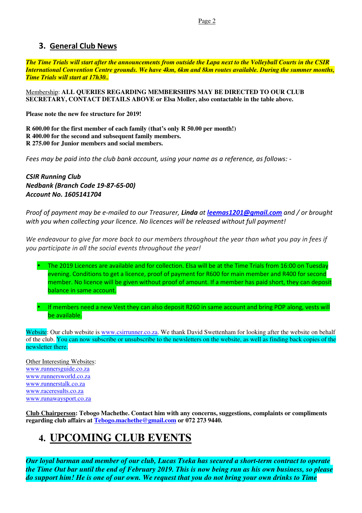### **3. General Club News**

*The Time Trials will start after the announcements from outside the Lapa next to the Volleyball Courts in the CSIR International Convention Centre grounds. We have 4km, 6km and 8km routes available. During the summer months, Time Trials will start at 17h30..*

Membership: **ALL QUERIES REGARDING MEMBERSHIPS MAY BE DIRECTED TO OUR CLUB SECRETARY, CONTACT DETAILS ABOVE or Elsa Moller, also contactable in the table above.** 

**Please note the new fee structure for 2019!** 

**R 600.00 for the first member of each family (that's only R 50.00 per month!) R 400.00 for the second and subsequent family members. R 275.00 for Junior members and social members.** 

*Fees may be paid into the club bank account, using your name as a reference, as follows: -* 

*CSIR Running Club Nedbank (Branch Code 19-87-65-00) Account No. 1605141704* 

*Proof of payment may be e-mailed to our Treasurer, Linda at leemas1201@gmail.com and / or brought with you when collecting your licence. No licences will be released without full payment!* 

*We endeavour to give far more back to our members throughout the year than what you pay in fees if you participate in all the social events throughout the year!* 

• The 2019 Licences are available and for collection. Elsa will be at the Time Trials from 16:00 on Tuesday evening. Conditions to get a licence, proof of payment for R600 for main member and R400 for second member. No licence will be given without proof of amount. If a member has paid short, they can deposit balance in same account.

• If members need a new Vest they can also deposit R260 in same account and bring POP along, vests will be available.

Website: Our club website is www.csirrunner.co.za. We thank David Swettenham for looking after the website on behalf of the club. You can now subscribe or unsubscribe to the newsletters on the website, as well as finding back copies of the newsletter there.

Other Interesting Websites: www.runnersguide.co.za www.runnersworld.co.za www.runnerstalk.co.za www.raceresults.co.za www.runawaysport.co.za

**Club Chairperson: Tebogo Machethe. Contact him with any concerns, suggestions, complaints or compliments regarding club affairs at Tebogo.machethe@gmail.com or 072 273 9440.** 

### **4. UPCOMING CLUB EVENTS**

*Our loyal barman and member of our club, Lucas Tseka has secured a short-term contract to operate the Time Out bar until the end of February 2019. This is now being run as his own business, so please do support him! He is one of our own. We request that you do not bring your own drinks to Time*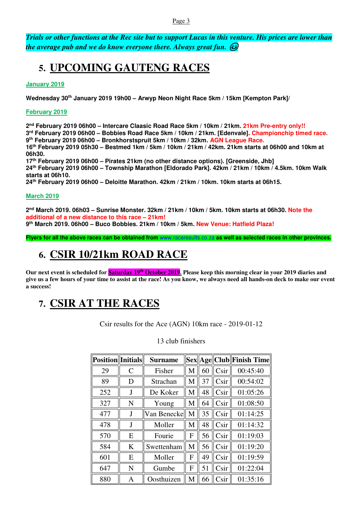#### Page 3

*Trials or other functions at the Rec site but to support Lucas in this venture. His prices are lower than the average pub and we do know everyone there. Always great fun.* 

### **5. UPCOMING GAUTENG RACES**

**January 2019** 

**Wednesday 30th January 2019 19h00 – Arwyp Neon Night Race 5km / 15km [Kempton Park]/** 

#### **February 2019**

 **nd February 2019 06h00 – Intercare Claasic Road Race 5km / 10km / 21km. 21km Pre-entry only!! rd February 2019 06h00 – Bobbies Road Race 5km / 10km / 21km. [Edenvale]. Championchip timed race. th February 2019 06h00 – Bronkhorstspruit 5km / 10km / 32km. AGN League Race. th February 2019 05h30 – Bestmed 1km / 5km / 10km / 21km / 42km. 21km starts at 06h00 and 10km at 06h30. th February 2019 06h00 – Pirates 21km (no other distance options). [Greenside, Jhb] th February 2019 06h00 – Township Marathon [Eldorado Park]. 42km / 21km / 10km / 4.5km. 10km Walk starts at 06h10. th February 2019 06h00 – Deloitte Marathon. 42km / 21km / 10km. 10km starts at 06h15.** 

#### **March 2019**

**2 nd March 2019. 06h03 – Sunrise Monster. 32km / 21km / 10km / 5km. 10km starts at 06h30. Note the additional of a new distance to this race – 21km! 9 th March 2019. 06h00 – Buco Bobbies. 21km / 10km / 5km. New Venue: Hatfield Plaza!** 

**Flyers for all the above races can be obtained from** www.raceresults.co.za **as well as selected races in other provinces.** 

### **6. CSIR 10/21km ROAD RACE**

**Our next event is scheduled for Saturday 19th October 2019. Please keep this morning clear in your 2019 diaries and give us a few hours of your time to assist at the race! As you know, we always need all hands-on deck to make our event a success!** 

### **7. CSIR AT THE RACES**

Csir results for the Ace (AGN) 10km race - 2019-01-12

| <b>Position</b> Initials |   | <b>Surname</b> |   |    |      | Sex  Age  Club  Finish Time |
|--------------------------|---|----------------|---|----|------|-----------------------------|
| 29                       | C | Fisher         | M | 60 | Csir | 00:45:40                    |
| 89                       | D | Strachan       | M | 37 | Csir | 00:54:02                    |
| 252                      | J | De Koker       | M | 48 | Csir | 01:05:26                    |
| 327                      | N | Young          | M | 64 | Csir | 01:08:50                    |
| 477                      | J | Van Benecke    | M | 35 | Csir | 01:14:25                    |
| 478                      | J | Moller         | M | 48 | Csir | 01:14:32                    |
| 570                      | E | Fourie         | F | 56 | Csir | 01:19:03                    |
| 584                      | K | Swettenham     | M | 56 | Csir | 01:19:20                    |
| 601                      | E | Moller         | F | 49 | Csir | 01:19:59                    |
| 647                      | N | Gumbe          | F | 51 | Csir | 01:22:04                    |
| 880                      | A | Oosthuizen     | M | 66 | Csir | 01:35:16                    |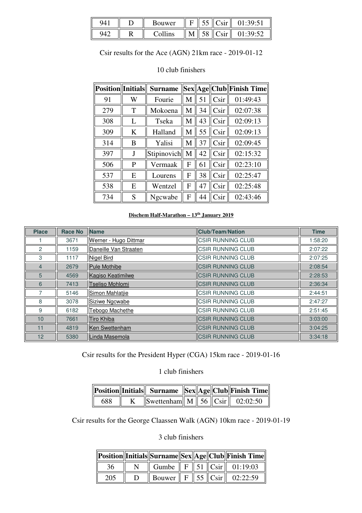| 94  |   | ouwer |  |  |
|-----|---|-------|--|--|
| 942 | к |       |  |  |

Csir results for the Ace (AGN) 21km race - 2019-01-12

### **Position Initials Surname Sex Age Club Finish Time** 91 | W | Fourie  $\|M\|$  51  $\|C\sin\|$  01:49:43 279 | T | Mokoena || M || 34 || Csir || 02:07:38 308 | L | Tseka || M || 43 || Csir || 02:09:13 309 || K || Halland || M || 55 || Csir || 02:09:13 314 | B | Yalisi || M || 37 || Csir || 02:09:45 397 | J | Stipinovich|| M || 42 || Csir || 02:15:32 506 || P || Vermaak || F || 61 || Csir || 02:23:10 537 || E || Lourens || F || 38 || Csir || 02:25:47 538 || E || Wentzel || F || 47 || Csir || 02:25:48 734 | S | Ngcwabe | F | 44 | Csir | 02:43:46

#### 10 club finishers

#### **Dischem Half-Marathon – 13th January 2019**

| <b>Place</b>    | <b>Race No</b> | <b>Name</b>            | <b>Club/Team/Nation</b>  | <b>Time</b> |
|-----------------|----------------|------------------------|--------------------------|-------------|
|                 | 3671           | Werner - Hugo Dittmar  | <b>CSIR RUNNING CLUB</b> | 1:58:20     |
| 2               | 1159           | Daneille Van Straaten  | <b>CSIR RUNNING CLUB</b> | 2:07:22     |
| 3               | 1117           | <b>Nigel Bird</b>      | <b>CSIR RUNNING CLUB</b> | 2:07:25     |
| $\overline{4}$  | 2679           | <b>Pule Mothibe</b>    | <b>CSIR RUNNING CLUB</b> | 2:08:54     |
| 5               | 4569           | Kagiso Keatimilwe      | <b>CSIR RUNNING CLUB</b> | 2:28:53     |
| 6               | 7413           | <b>Tseliso Mohlomi</b> | <b>CSIR RUNNING CLUB</b> | 2:36:34     |
|                 | 5146           | Simon Mahlatjie        | <b>CSIR RUNNING CLUB</b> | 2:44:51     |
| 8               | 3078           | Siziwe Ngcwabe         | <b>CSIR RUNNING CLUB</b> | 2:47:27     |
| 9               | 6182           | <b>Tebogo Machethe</b> | <b>CSIR RUNNING CLUB</b> | 2:51:45     |
| 10 <sup>1</sup> | 7661           | Tiro Khiba             | <b>CSIR RUNNING CLUB</b> | 3:03:00     |
| 11              | 4819           | Ken Swettenham         | <b>CSIR RUNNING CLUB</b> | 3:04:25     |
| 12 <sup>°</sup> | 5380           | Linda Masemola         | <b>CSIR RUNNING CLUB</b> | 3:34:18     |

#### Csir results for the President Hyper (CGA) 15km race - 2019-01-16

1 club finishers

|     |                                                        |  | Position  Initials   Surname   Sex  Age  Club  Finish Time |
|-----|--------------------------------------------------------|--|------------------------------------------------------------|
| 688 | $\ $ Swettenham $\ $ M $\ $ 56 $\ $ Csir $\ $ 02:02:50 |  |                                                            |

Csir results for the George Claassen Walk (AGN) 10km race - 2019-01-19

|     |   |  |  | Position  Initials  Surname  Sex  Age  Club  Finish Time |
|-----|---|--|--|----------------------------------------------------------|
| 36  | N |  |  | Gumbe $\  F \  51 \  C\sin \  01:19:03$                  |
| 205 |   |  |  | Bouwer   F   55   Csir   02:22:59                        |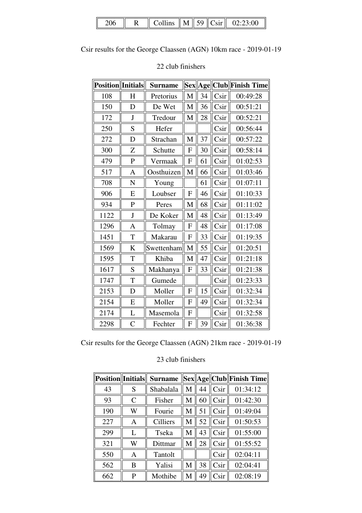|  |  |  |  |  |  |  | Collins $\ M\ $ 59 $\ C\sin\ $ 02:23:00 |
|--|--|--|--|--|--|--|-----------------------------------------|
|--|--|--|--|--|--|--|-----------------------------------------|

Csir results for the George Claassen (AGN) 10km race - 2019-01-19

| <b>Position</b> | Initials       | <b>Surname</b> |              |    |      | Sex  Age  Club  Finish Time |
|-----------------|----------------|----------------|--------------|----|------|-----------------------------|
| 108             | H              | Pretorius      | M            | 34 | Csir | 00:49:28                    |
| 150             | D              | De Wet         | M            | 36 | Csir | 00:51:21                    |
| 172             | $\mathbf{J}$   | Tredour        | M            | 28 | Csir | 00:52:21                    |
| 250             | S              | Hefer          |              |    | Csir | 00:56:44                    |
| 272             | D              | Strachan       | M            | 37 | Csir | 00:57:22                    |
| 300             | Z              | Schutte        | F            | 30 | Csir | 00:58:14                    |
| 479             | $\mathbf{P}$   | Vermaak        | $\mathbf{F}$ | 61 | Csir | 01:02:53                    |
| 517             | A              | Oosthuizen     | M            | 66 | Csir | 01:03:46                    |
| 708             | N              | Young          |              | 61 | Csir | 01:07:11                    |
| 906             | E              | Loubser        | F            | 46 | Csir | 01:10:33                    |
| 934             | $\mathbf P$    | Peres          | M            | 68 | Csir | 01:11:02                    |
| 1122            | $\mathbf{J}$   | De Koker       | M            | 48 | Csir | 01:13:49                    |
| 1296            | A              | Tolmay         | F            | 48 | Csir | 01:17:08                    |
| 1451            | T              | Makarau        | F            | 33 | Csir | 01:19:35                    |
| 1569            | $\bf K$        | Swettenham     | M            | 55 | Csir | 01:20:51                    |
| 1595            | T              | Khiba          | M            | 47 | Csir | 01:21:18                    |
| 1617            | S              | Makhanya       | F            | 33 | Csir | 01:21:38                    |
| 1747            | T              | Gumede         |              |    | Csir | 01:23:33                    |
| 2153            | D              | Moller         | $\mathbf F$  | 15 | Csir | 01:32:34                    |
| 2154            | E              | Moller         | F            | 49 | Csir | 01:32:34                    |
| 2174            | L              | Masemola       | $\mathbf{F}$ |    | Csir | 01:32:58                    |
| 2298            | $\overline{C}$ | Fechter        | $\mathbf{F}$ | 39 | Csir | 01:36:38                    |

### 22 club finishers

Csir results for the George Claassen (AGN) 21km race - 2019-01-19

| <b>Position</b>   Initials |   | <b>Surname</b>  |   |    |      | Sex  Age  Club  Finish Time |
|----------------------------|---|-----------------|---|----|------|-----------------------------|
| 43                         | S | Shabalala       | M | 44 | Csir | 01:34:12                    |
| 93                         | C | Fisher          | M | 60 | Csir | 01:42:30                    |
| 190                        | W | Fourie          | М | 51 | Csir | 01:49:04                    |
| 227                        | A | <b>Cilliers</b> | M | 52 | Csir | 01:50:53                    |
| 299                        | L | Tseka           | M | 43 | Csir | 01:55:00                    |
| 321                        | W | Dittmar         | M | 28 | Csir | 01:55:52                    |
| 550                        | Α | Tantolt         |   |    | Csir | 02:04:11                    |
| 562                        | B | Yalisi          | M | 38 | Csir | 02:04:41                    |
| 662                        | P | Mothibe         | M | 49 | Csir | 02:08:19                    |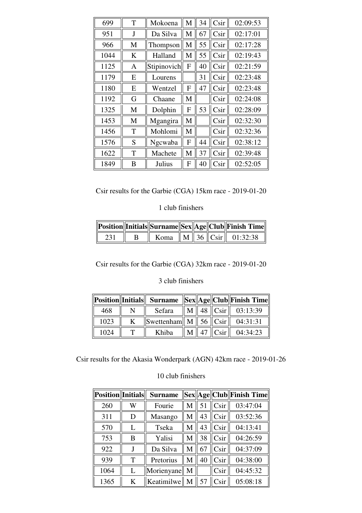| 699  | T | Mokoena     | M | 34 | Csir            | 02:09:53 |
|------|---|-------------|---|----|-----------------|----------|
| 951  | J | Da Silva    | M | 67 | Csir            | 02:17:01 |
| 966  | M | Thompson    | М | 55 | C <sub>Si</sub> | 02:17:28 |
| 1044 | K | Halland     | M | 55 | Csir            | 02:19:43 |
| 1125 | A | Stipinovich | F | 40 | Csir            | 02:21:59 |
| 1179 | E | Lourens     |   | 31 | Csir            | 02:23:48 |
| 1180 | E | Wentzel     | F | 47 | Csir            | 02:23:48 |
| 1192 | G | Chaane      | M |    | Csir            | 02:24:08 |
| 1325 | M | Dolphin     | F | 53 | Csir            | 02:28:09 |
| 1453 | M | Mgangira    | M |    | Csir            | 02:32:30 |
| 1456 | T | Mohlomi     | M |    | Csir            | 02:32:36 |
| 1576 | S | Ngcwaba     | F | 44 | Csir            | 02:38:12 |
| 1622 | T | Machete     | M | 37 | Csir            | 02:39:48 |
| 1849 | B | Julius      | F | 40 | Csir            | 02:52:05 |

1 club finishers

|  |  |  | Position  Initials  Surname  Sex  Age  Club  Finish Time |
|--|--|--|----------------------------------------------------------|
|  |  |  | Koma $\ M\ $ 36 $\ C\sin\ $ 01:32:38                     |

Csir results for the Garbie (CGA) 32km race - 2019-01-20

3 club finishers

|      |   |                                             |  |                        | Position  Initials   Surname   Sex  Age  Club  Finish Time |
|------|---|---------------------------------------------|--|------------------------|------------------------------------------------------------|
| 468  |   | Sefara                                      |  |                        | $\ M\ $ 48 $\ $ Csir $\ $ 03:13:39                         |
| 1023 | K | Swettenham   M   56 $\ $ Csir $\ $ 04:31:31 |  |                        |                                                            |
| 1024 |   | Khiba                                       |  | $\text{M}$   47   Csir | 04:34:23                                                   |

Csir results for the Akasia Wonderpark (AGN) 42km race - 2019-01-26

| <b>Position</b> Initials |   | <b>Surname</b> |   |    |      | Sex  Age  Club  Finish Time |
|--------------------------|---|----------------|---|----|------|-----------------------------|
| 260                      | W | Fourie         | М | 51 | Csir | 03:47:04                    |
| 311                      | D | Masango        | М | 43 | Csir | 03:52:36                    |
| 570                      | L | Tseka          | М | 43 | Csir | 04:13:41                    |
| 753                      | B | Yalisi         | М | 38 | Csir | 04:26:59                    |
| 922                      |   | Da Silva       | M | 67 | Csir | 04:37:09                    |
| 939                      | T | Pretorius      | М | 40 | Csir | 04:38:00                    |
| 1064                     | L | Morienyane     | M |    | Csir | 04:45:32                    |
| 1365                     | K | Keatimilwe     | M | 57 | Csir | 05:08:18                    |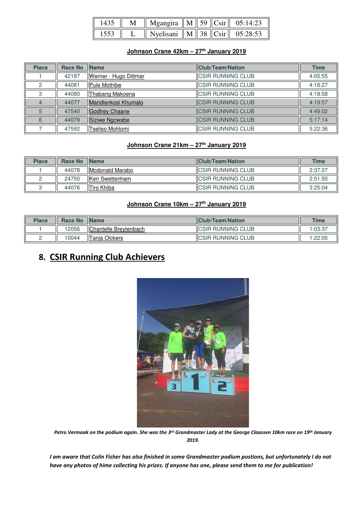|  | Mgangira    M    59    Csir    05:14:23   |  |  |
|--|-------------------------------------------|--|--|
|  | Nyelisani    M    38 $  C\sin  $ 05:28:53 |  |  |

#### **Johnson Crane 42km – 27th January 2019**

| <b>Place</b> | <b>Race No</b> | <b>Name</b>            | <b>Club/Team/Nation</b>   | <b>Time</b> |
|--------------|----------------|------------------------|---------------------------|-------------|
|              | 42187          | Werner - Hugo Dittmar  | <b>CSIR RUNNING CLUB</b>  | 4:05:55     |
|              | 44081          | <b>IPule Mothibe</b>   | <b>CSIR RUNNING CLUB</b>  | 4:18:27     |
|              | 44080          | Thabang Makoena        | <b>CSIR RUNNING CLUB</b>  | 4:18:58     |
|              | 44077          | Mandlenkosi Khumalo    | <b>CSIR RUNNING CLUB</b>  | 4:19:57     |
| 5            | 47540          | <b>IGodfrey Chaane</b> | <b>ICSIR RUNNING CLUB</b> | 4:49:02     |
|              | 44079          | Siziwe Ngcwabe         | <b>CSIR RUNNING CLUB</b>  | 5:17:14     |
|              | 47592          | Tseliso Mohlomi        | <b>ICSIR RUNNING CLUB</b> | 5:22:36     |

#### **Johnson Crane 21km – 27th January 2019**

| <b>Place</b> | Race No | <b>IName</b>            | <b>IClub/Team/Nation</b>  | <b>Time</b> |
|--------------|---------|-------------------------|---------------------------|-------------|
|              | 44078   | <b>IMcdonald Marabo</b> | <b>ICSIR RUNNING CLUB</b> | 2:37:27     |
|              | 24750   | IlKen Swettenham        | <b>ICSIR RUNNING CLUB</b> | 2:51:50     |
|              | 44076   | <b>ITiro Khiba</b>      | <b>ICSIR RUNNING CLUB</b> | 3:25:04     |

#### **Johnson Crane 10km – 27th January 2019**

| <b>Place</b> | <b>Race No</b> | <b>Name</b>                   | <b>IClub/Team/Nation</b>   | <b>Time</b> |
|--------------|----------------|-------------------------------|----------------------------|-------------|
|              | 12056          | <b>IChantelle Brevtenbach</b> | <b>IICSIR RUNNING CLUB</b> | 1:03:37     |
|              | 0044           | Tanja Olckers                 | <b>ICSIR RUNNING CLUB</b>  | :22:05      |

### **8. CSIR Running Club Achievers**



*Petro Vermaak on the podium again. She was the 3rd Grandmaster Lady at the George Claassen 10km race on 19th January 2019.* 

*I am aware that Colin Fisher has also finished in some Grandmaster podium postions, but unfortunately I do not have any photos of hime collecting his prizes. If anyone has one, please send them to me for publication!*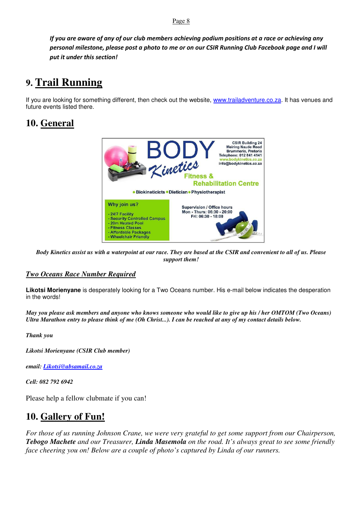Page 8

*If you are aware of any of our club members achieving podium positions at a race or achieving any personal milestone, please post a photo to me or on our CSIR Running Club Facebook page and I will put it under this section!*

## **9. Trail Running**

If you are looking for something different, then check out the website, www.trailadventure.co.za. It has venues and future events listed there.

### **10. General**



*Body Kinetics assist us with a waterpoint at our race. They are based at the CSIR and convenient to all of us. Please support them!* 

#### *Two Oceans Race Number Required*

**Likotsi Morienyane** is desperately looking for a Two Oceans number. His e-mail below indicates the desperation in the words!

*May you please ask members and anyone who knows someone who would like to give up his / her OMTOM (Two Oceans) Ultra Marathon entry to please think of me (Oh Christ...). I can be reached at any of my contact details below.*

*Thank you* 

*Likotsi Morienyane (CSIR Club member)* 

*email: Likotsi@absamail.co.za*

*Cell: 082 792 6942* 

Please help a fellow clubmate if you can!

### **10. Gallery of Fun!**

*For those of us running Johnson Crane, we were very grateful to get some support from our Chairperson, Tebogo Machete and our Treasurer, Linda Masemola on the road. It's always great to see some friendly face cheering you on! Below are a couple of photo's captured by Linda of our runners.*